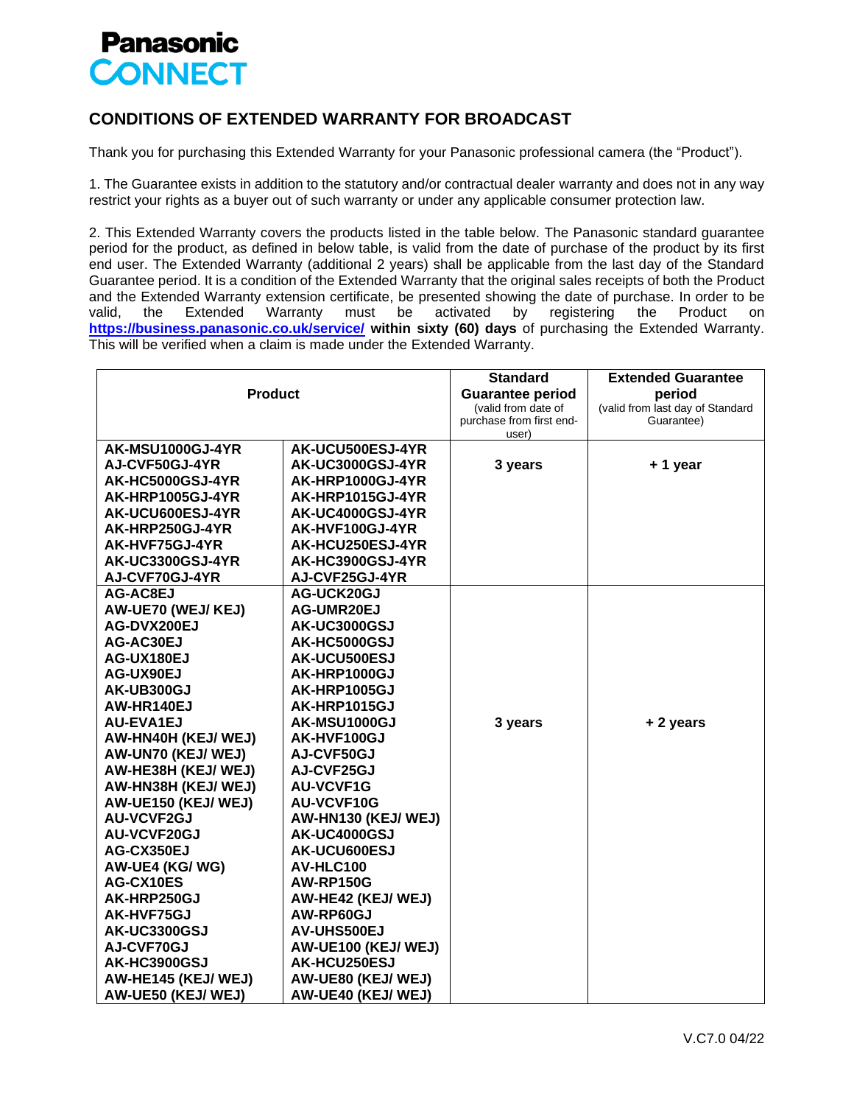## **Panasonic CONNECT**

## **CONDITIONS OF EXTENDED WARRANTY FOR BROADCAST**

Thank you for purchasing this Extended Warranty for your Panasonic professional camera (the "Product").

1. The Guarantee exists in addition to the statutory and/or contractual dealer warranty and does not in any way restrict your rights as a buyer out of such warranty or under any applicable consumer protection law.

2. This Extended Warranty covers the products listed in the table below. The Panasonic standard guarantee period for the product, as defined in below table, is valid from the date of purchase of the product by its first end user. The Extended Warranty (additional 2 years) shall be applicable from the last day of the Standard Guarantee period. It is a condition of the Extended Warranty that the original sales receipts of both the Product and the Extended Warranty extension certificate, be presented showing the date of purchase. In order to be valid, the Extended Warranty must be activated by registering the Product on **<https://business.panasonic.co.uk/service/> within sixty (60) days** of purchasing the Extended Warranty. This will be verified when a claim is made under the Extended Warranty.

|                         |                         | <b>Standard</b>          | <b>Extended Guarantee</b>        |
|-------------------------|-------------------------|--------------------------|----------------------------------|
| <b>Product</b>          |                         | <b>Guarantee period</b>  | period                           |
|                         |                         | (valid from date of      | (valid from last day of Standard |
|                         |                         | purchase from first end- | Guarantee)                       |
|                         |                         | user)                    |                                  |
| AK-MSU1000GJ-4YR        | AK-UCU500ESJ-4YR        |                          |                                  |
| AJ-CVF50GJ-4YR          | AK-UC3000GSJ-4YR        | 3 years                  | +1 year                          |
| AK-HC5000GSJ-4YR        | AK-HRP1000GJ-4YR        |                          |                                  |
| <b>AK-HRP1005GJ-4YR</b> | <b>AK-HRP1015GJ-4YR</b> |                          |                                  |
| <b>AK-UCU600ESJ-4YR</b> | AK-UC4000GSJ-4YR        |                          |                                  |
| AK-HRP250GJ-4YR         | AK-HVF100GJ-4YR         |                          |                                  |
| AK-HVF75GJ-4YR          | AK-HCU250ESJ-4YR        |                          |                                  |
| <b>AK-UC3300GSJ-4YR</b> | AK-HC3900GSJ-4YR        |                          |                                  |
| AJ-CVF70GJ-4YR          | AJ-CVF25GJ-4YR          |                          |                                  |
| AG-AC8EJ                | AG-UCK20GJ              |                          |                                  |
| AW-UE70 (WEJ/KEJ)       | AG-UMR20EJ              |                          |                                  |
| AG-DVX200EJ             | AK-UC3000GSJ            |                          |                                  |
| AG-AC30EJ               | AK-HC5000GSJ            |                          |                                  |
| AG-UX180EJ              | AK-UCU500ESJ            |                          |                                  |
| AG-UX90EJ               | AK-HRP1000GJ            |                          |                                  |
| AK-UB300GJ              | AK-HRP1005GJ            |                          |                                  |
| AW-HR140EJ              | AK-HRP1015GJ            |                          |                                  |
| <b>AU-EVA1EJ</b>        | AK-MSU1000GJ            | 3 years                  | + 2 years                        |
| AW-HN40H (KEJ/ WEJ)     | AK-HVF100GJ             |                          |                                  |
| AW-UN70 (KEJ/ WEJ)      | AJ-CVF50GJ              |                          |                                  |
| AW-HE38H (KEJ/WEJ)      | AJ-CVF25GJ              |                          |                                  |
| AW-HN38H (KEJ/WEJ)      | <b>AU-VCVF1G</b>        |                          |                                  |
| AW-UE150 (KEJ/WEJ)      | AU-VCVF10G              |                          |                                  |
| <b>AU-VCVF2GJ</b>       | AW-HN130 (KEJ/WEJ)      |                          |                                  |
| AU-VCVF20GJ             | AK-UC4000GSJ            |                          |                                  |
| AG-CX350EJ              | AK-UCU600ESJ            |                          |                                  |
| AW-UE4 (KG/WG)          | AV-HLC100               |                          |                                  |
| AG-CX10ES               | <b>AW-RP150G</b>        |                          |                                  |
| AK-HRP250GJ             | AW-HE42 (KEJ/WEJ)       |                          |                                  |
| AK-HVF75GJ              | AW-RP60GJ               |                          |                                  |
| AK-UC3300GSJ            | AV-UHS500EJ             |                          |                                  |
| AJ-CVF70GJ              | AW-UE100 (KEJ/WEJ)      |                          |                                  |
| AK-HC3900GSJ            | AK-HCU250ESJ            |                          |                                  |
| AW-HE145 (KEJ/WEJ)      | AW-UE80 (KEJ/WEJ)       |                          |                                  |
| AW-UE50 (KEJ/WEJ)       | AW-UE40 (KEJ/ WEJ)      |                          |                                  |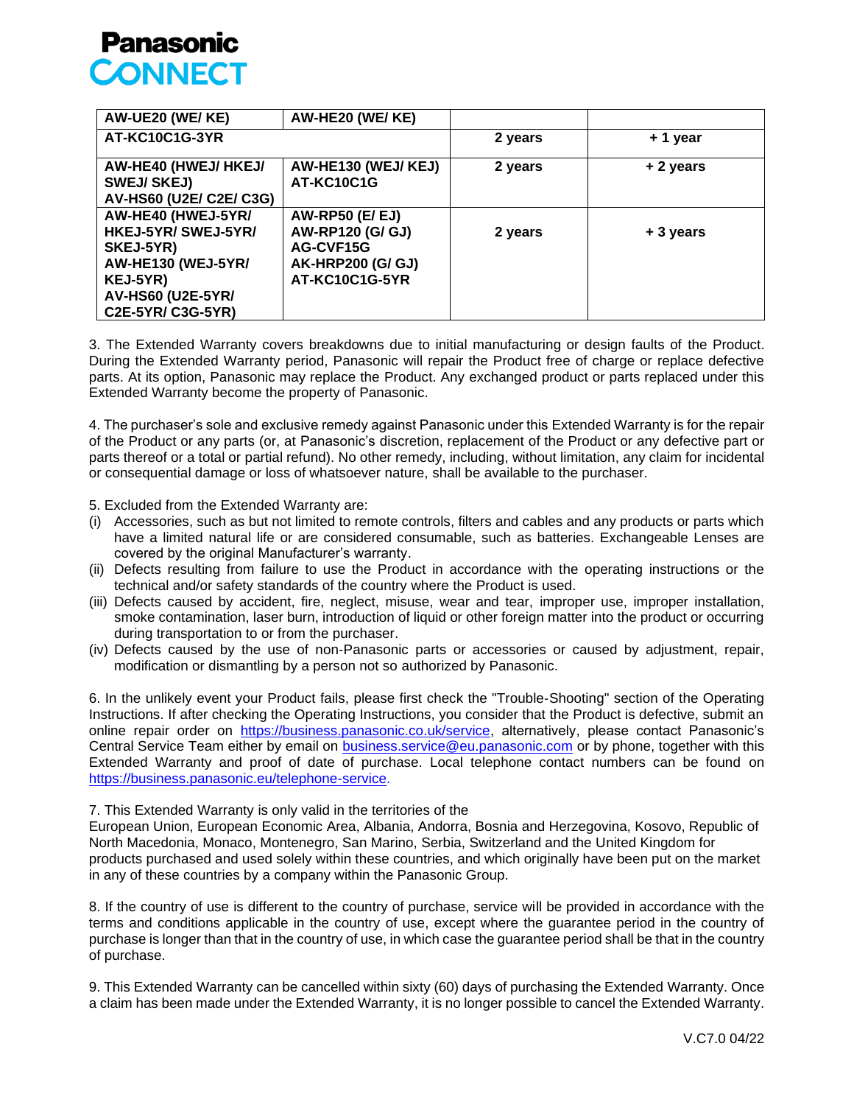

| AW-UE20 (WE/KE)                                                                                                                                  | AW-HE20 (WE/KE)                                                                                              |         |           |
|--------------------------------------------------------------------------------------------------------------------------------------------------|--------------------------------------------------------------------------------------------------------------|---------|-----------|
| AT-KC10C1G-3YR                                                                                                                                   |                                                                                                              | 2 years | + 1 year  |
| AW-HE40 (HWEJ/ HKEJ/<br><b>SWEJ/SKEJ)</b><br>AV-HS60 (U2E/ C2E/ C3G)                                                                             | AW-HE130 (WEJ/KEJ)<br>AT-KC10C1G                                                                             | 2 years | + 2 years |
| AW-HE40 (HWEJ-5YR/<br>HKEJ-5YR/ SWEJ-5YR/<br>SKEJ-5YR)<br><b>AW-HE130 (WEJ-5YR/</b><br>KEJ-5YR)<br><b>AV-HS60 (U2E-5YR/</b><br>C2E-5YR/ C3G-5YR) | <b>AW-RP50 (E/ EJ)</b><br><b>AW-RP120 (G/ GJ)</b><br>AG-CVF15G<br><b>AK-HRP200 (G/ GJ)</b><br>AT-KC10C1G-5YR | 2 years | + 3 years |

3. The Extended Warranty covers breakdowns due to initial manufacturing or design faults of the Product. During the Extended Warranty period, Panasonic will repair the Product free of charge or replace defective parts. At its option, Panasonic may replace the Product. Any exchanged product or parts replaced under this Extended Warranty become the property of Panasonic.

4. The purchaser's sole and exclusive remedy against Panasonic under this Extended Warranty is for the repair of the Product or any parts (or, at Panasonic's discretion, replacement of the Product or any defective part or parts thereof or a total or partial refund). No other remedy, including, without limitation, any claim for incidental or consequential damage or loss of whatsoever nature, shall be available to the purchaser.

5. Excluded from the Extended Warranty are:

- (i) Accessories, such as but not limited to remote controls, filters and cables and any products or parts which have a limited natural life or are considered consumable, such as batteries. Exchangeable Lenses are covered by the original Manufacturer's warranty.
- (ii) Defects resulting from failure to use the Product in accordance with the operating instructions or the technical and/or safety standards of the country where the Product is used.
- (iii) Defects caused by accident, fire, neglect, misuse, wear and tear, improper use, improper installation, smoke contamination, laser burn, introduction of liquid or other foreign matter into the product or occurring during transportation to or from the purchaser.
- (iv) Defects caused by the use of non‐Panasonic parts or accessories or caused by adjustment, repair, modification or dismantling by a person not so authorized by Panasonic.

6. In the unlikely event your Product fails, please first check the "Trouble‐Shooting" section of the Operating Instructions. If after checking the Operating Instructions, you consider that the Product is defective, submit an online repair order on https://business.panasonic.co.uk/service, alternatively, please contact Panasonic's Central Service Team either by email on [business.service@eu.panasonic.com](mailto:business.service@eu.panasonic.com) or by phone, together with this Extended Warranty and proof of date of purchase. Local telephone contact numbers can be found on [https://business.panasonic.eu/telephone-service.](https://business.panasonic.eu/telephone-service)

7. This Extended Warranty is only valid in the territories of the

European Union, European Economic Area, Albania, Andorra, Bosnia and Herzegovina, Kosovo, Republic of North Macedonia, Monaco, Montenegro, San Marino, Serbia, Switzerland and the United Kingdom for products purchased and used solely within these countries, and which originally have been put on the market in any of these countries by a company within the Panasonic Group.

8. If the country of use is different to the country of purchase, service will be provided in accordance with the terms and conditions applicable in the country of use, except where the guarantee period in the country of purchase is longer than that in the country of use, in which case the guarantee period shall be that in the country of purchase.

9. This Extended Warranty can be cancelled within sixty (60) days of purchasing the Extended Warranty. Once a claim has been made under the Extended Warranty, it is no longer possible to cancel the Extended Warranty.